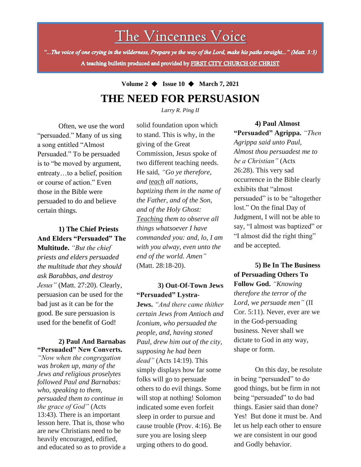# The Vincennes Voice

"...The voice of one crying in the wilderness, Prepare ye the way of the Lord, make his paths straight..." (Matt. 3:3) A teaching bulletin produced and provided by FIRST CITY CHURCH OF CHRIST

## **Volume 2** ◆ **Issue 10** ◆ **March 7, 2021 THE NEED FOR PERSUASION**

*Larry R. Ping II*

Often, we use the word "persuaded." Many of us sing a song entitled "Almost Persuaded." To be persuaded is to "be moved by argument, entreaty…to a belief, position or course of action." Even those in the Bible were persuaded to do and believe certain things.

## **1) The Chief Priests And Elders "Persuaded" The**

**Multitude.** *"But the chief priests and elders persuaded the multitude that they should ask Barabbas, and destroy Jesus"* (Matt. 27:20). Clearly, persuasion can be used for the bad just as it can be for the good. Be sure persuasion is used for the benefit of God!

### **2) Paul And Barnabas "Persuaded" New Converts.**

*the grace of God"* (Acts *"Now when the congregation was broken up, many of the Jews and religious proselytes followed Paul and Barnabas: who, speaking to them, persuaded them to continue in*  13:43). There is an important lesson here. That is, those who are new Christians need to be heavily encouraged, edified, and educated so as to provide a solid foundation upon which to stand. This is why, in the giving of the Great Commission, Jesus spoke of two different teaching needs. He said, *"Go ye therefore, and teach all nations, baptizing them in the name of the Father, and of the Son, and of the Holy Ghost: Teaching them to observe all things whatsoever I have commanded you: and, lo, I am with you alway, even unto the end of the world. Amen"* (Matt. 28:18-20).

### **3) Out-Of-Town Jews "Persuaded" Lystra-**

**Jews.** *"And there came thither certain Jews from Antioch and Iconium, who persuaded the people, and, having stoned Paul, drew him out of the city, supposing he had been dead"* (Acts 14:19). This simply displays how far some folks will go to persuade others to do evil things. Some will stop at nothing! Solomon indicated some even forfeit sleep in order to pursue and cause trouble (Prov. 4:16). Be sure you are losing sleep urging others to do good.

### **4) Paul Almost**

**"Persuaded" Agrippa.** *"Then Agrippa said unto Paul, Almost thou persuadest me to be a Christian"* (Acts 26:28). This very sad occurrence in the Bible clearly exhibits that "almost persuaded" is to be "altogether lost." On the final Day of Judgment, I will not be able to say, "I almost was baptized" or "I almost did the right thing" and be accepted.

**5) Be In The Business of Persuading Others To Follow God.** *"Knowing therefore the terror of the Lord, we persuade men"* (II Cor. 5:11). Never, ever are we in the God-persuading business. Never shall we dictate to God in any way, shape or form.

On this day, be resolute in being "persuaded" to do good things, but be firm in not being "persuaded" to do bad things. Easier said than done? Yes! But done it must be. And let us help each other to ensure we are consistent in our good and Godly behavior.